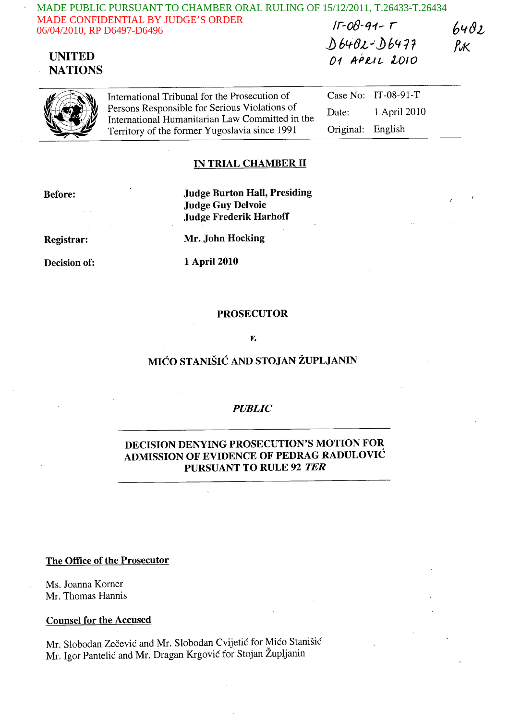| MADE PUBLIC PURSUANT TO CHAMBER ORAL RULING OF 15/12/2011, T.26433-T.26434 |                                               |      |
|----------------------------------------------------------------------------|-----------------------------------------------|------|
| <b>MADE CONFIDENTIAL BY JUDGE'S ORDER</b><br>06/04/2010, RP D6497-D6496    | $15 - 08 - 91 - 5$                            | 6402 |
|                                                                            | $\lambda$ / $\ldots$ $\lambda$ / $\ldots$ and |      |

## UNITED **NATIONS**

*1J* 61.ftJL.J ~ 6411 RK 01 APRIL 2010



International Tribunal for the Prosecution of Persons Responsible for Serious Violations of International Humanitarian Law Committed in the Territory of the former Yugoslavia since 1991

Case No: IT-08-91-T Date: 1 April 2010 Original: English

### IN TRIAL CHAMBER II

Before:

Judge Burton Hall, Presiding Judge Guy Delvoie Judge Frederik Harhoff

Registrar:

Decision of:

Mr. John Hocking

1 April 2010

### **PROSECUTOR**

#### *v.*

## MICO STANISIC AND STOJAN ZUPLJANIN

### *PUBLIC*

### DECISION DENYING PROSECUTION'S MOTION FOR ADMISSION OF EVIDENCE OF PEDRAG RADULOVIC PURSUANT TO RULE 92 TER

### The Office of the Prosecutor

Ms. Joanna Korner Mr. Thomas Hannis

#### Counsel for the Accused

Mr. Slobodan Zečević and Mr. Slobodan Cvijetić for Mićo Stanišić Mr. Igor Pantelic and Mr. Dragan Krgovic for Stojan Zupljanin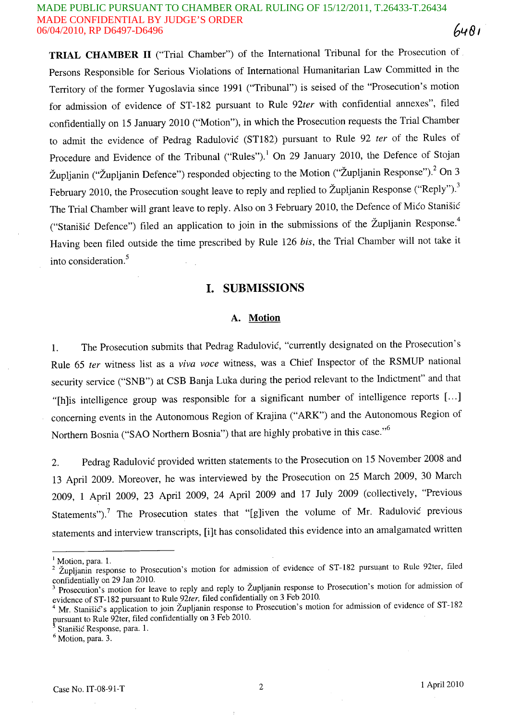#### MADE PUBLIC PURSUANT TO CHAMBER ORAL RULING OF 15/12/2011, T.26433-T.26434 MADE CONFIDENTIAL BY JUDGE'S ORDER 64R1 06/04/2010, RP D6497-D6496

**TRIAL CHAMBER 11** ("Trial Chamber") of the International Tribunal for the Prosecution of . Persons Responsible for Serious Violations of International Humanitarian Law Committed in the Territory of the former Yugoslavia since 1991 ("Tribunal") is seised of the "Prosecution's motion for admission of evidence of ST-182 pursuant to Rule *92ter* with confidential annexes", filed confidentially on 15 January 2010 ("Motion"), in which the Prosecution requests the Trial Chamber to admit the evidence of Pedrag Radulovic (STI82) pursuant to Rule 92 *ter* of the Rules of Procedure and Evidence of the Tribunal ("Rules").<sup>1</sup> On 29 January 2010, the Defence of Stojan Župljanin ("Župljanin Defence") responded objecting to the Motion ("Župljanin Response").<sup>2</sup> On 3 February 2010, the Prosecution sought leave to reply and replied to Župljanin Response ("Reply").<sup>3</sup> The Trial Chamber will grant leave to reply. Also on 3 February 2010, the Defence of Mico Stanisic ("Stanišić Defence") filed an application to join in the submissions of the Župljanin Response.<sup>4</sup> Having been filed outside the time prescribed by Rule 126 *his,* the Trial Chamber will not take it into consideration.<sup>5</sup>

## **I. SUBMISSIONS**

### A. **Motion**

1. The Prosecution submits that Pedrag Radulovic, "currently designated on the Prosecution's Rule 65 *ter* witness list as a *viva voce* witness, was a Chief Inspector of the RSMUP national security service ("SNB") at CSB Banja Luka during the period relevant to the Indictment" and that "[h]is intelligence group was responsible for a significant number of intelligence reports [...] concerning events in the Autonomous Region of Krajina ("ARK") and the Autonomous Region of Northern Bosnia ("SAO Northern Bosnia") that are highly probative in this case."<sup>6</sup>

2. Pedrag Radulovic provided written statements to the Prosecution on 15 November 2008 and 13 April 2009. Moreover, he was interviewed by the Prosecution on 25 March 2009, 30 March 2009, 1 April 2009, 23 April 2009, 24 April 2009 and 17 July 2009 (collectively, "Previous Statements").<sup>7</sup> The Prosecution states that "[g]iven the volume of Mr. Radulovic previous statements and interview transcripts, [i]t has consolidated this evidence into an amalgamated written

 $<sup>6</sup>$  Motion, para. 3.</sup>

 $<sup>1</sup>$  Motion, para. 1.</sup>

<sup>&</sup>lt;sup>2</sup> Zupljanin response to Prosecution's motion for admission of evidence of ST-182 pursuant to Rule 92ter, filed confidentially on 29 Jan 2010.

<sup>&</sup>lt;sup>3</sup> Prosecution's motion for leave to reply and reply to Župljanin response to Prosecution's motion for admission of evidence of ST-182 pursuant to Rule *92ter,* filed confidentially on 3 Feb 2010.

<sup>4</sup> Mr. Stanišić's application to join Župljanin response to Prosecution's motion for admission of evidence of ST-182 pursuant to Rule 92ter, filed confidentially on 3 Feb 2010.

<sup>.</sup> Stanisic Response, para. 1.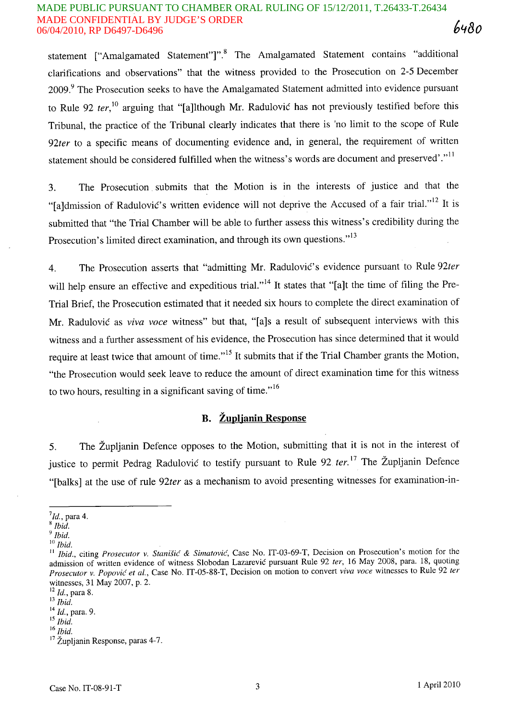#### MADE PUBLIC PURSUANT TO CHAMBER ORAL RULING OF 15/12/2011, T.26433-T.26434 MADE CONFIDENTIAL BY JUDGE'S ORDER 6480 06/04/2010, RP D6497-D6496

statement ["Amalgamated Statement"]".<sup>8</sup> The Amalgamated Statement contains "additional clarifications and observations" that the witness provided to the Prosecution on 2-5 December 2009.<sup>9</sup> The Prosecution seeks to have the Amalgamated Statement admitted into evidence pursuant to Rule 92 *ter,1O* arguing that "[a]lthough Mr. Radulovic has not previously testified before this Tribunal, the practice of the Tribunal clearly indicates that there is 'no limit to the scope of Rule *92ter* to a specific means of documenting evidence and, in general, the requirement of written statement should be considered fulfilled when the witness's words are document and preserved'."<sup>11</sup>

3. The Prosecution . submits that the Motion is in the interests of justice and that the "[a]dmission of Radulović's written evidence will not deprive the Accused of a fair trial."<sup>12</sup> It is submitted that "the Trial Chamber will be able to further assess this witness's credibility during the Prosecution's limited direct examination, and through its own questions."<sup>13</sup>

4. The Prosecution asserts that "admitting Mr. Radulovic's evidence pursuant to Rule *92ter*  will help ensure an effective and expeditious trial."<sup>14</sup> It states that "[a]t the time of filing the Pre-Trial Brief, the Prosecution estimated that it needed six hours to complete the direct examination of Mr. Radulovic as *viva voce* witness" but that, "[a]s a result of subsequent interviews with this witness and a further assessment of his evidence, the Prosecution has since determined that it would require at least twice that amount of time."<sup>15</sup> It submits that if the Trial Chamber grants the Motion, "the Prosecution would seek leave to reduce the amount of direct examination time for this witness to two hours, resulting in a significant saving of time."<sup>16</sup>

## **B. Zuplianin Response**

5. The Zupljanin Defence opposes to the Motion, submitting that it is not in the interest of justice to permit Pedrag Radulović to testify pursuant to Rule 92 *ter.*<sup>17</sup> The Župljanin Defence "[balks] at the use of rule *92ter* as a mechanism to avoid presenting witnesses for examination-in-

*9 Ibid.* 

 $^7$ Id., para 4.

*<sup>8</sup> Ibid.* 

<sup>10</sup>*Ibid.* 

<sup>&</sup>lt;sup>11</sup> *Ibid., citing Prosecutor v. Stanišić & Simatović, Case No. IT-03-69-T, Decision on Prosecution's motion for the* admission of written evidence of witness Slobodan Lazarevic pursuant Rule 92 ter, 16 May 2008, para. 18, quoting *Prosecutor v. Popovic et aI. ,* Case No. IT-05-88-T, Decision on motion to convert *viva voce* witnesses to Rule 92 *ter*  witnesses, 31 May 2007, p. 2.

<sup>12</sup>*Id.,* para 8.

<sup>13</sup>*Ibid.* 

<sup>14</sup>*Id.,* para. 9.

<sup>15</sup>*Ibid.* 

<sup>16</sup>*Ibid.* 

<sup>&</sup>lt;sup>17</sup> Župljanin Response, paras 4-7.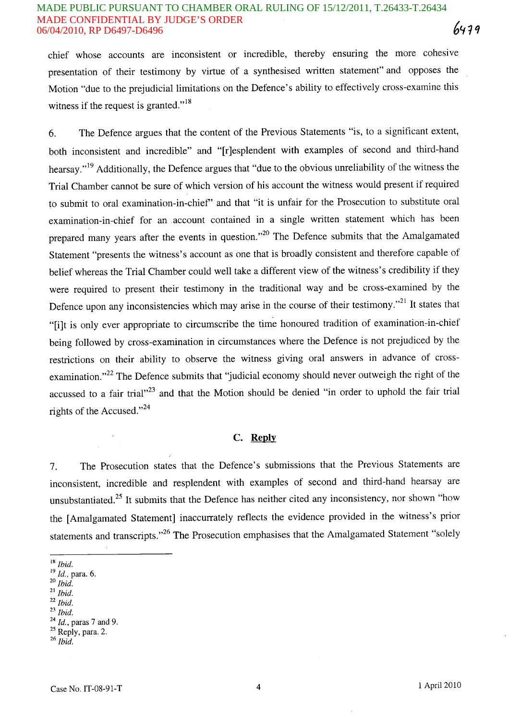### MADE CONFIDENTIAL BY JUDGE'S ORDER 06/04/2010, RP D6497-D6496 MADE PUBLIC PURSUANT TO CHAMBER ORAL RULING OF 15/12/2011, T.26433-T.26434

chief whose accounts are inconsistent or incredible, thereby ensuring the more cohesive presentation of their testimony by virtue of a synthesised written statement" and opposes the Motion "due to the prejudicial limitations on the Defence's ability to effectively cross-examine this witness if the request is granted."<sup>18</sup>

6. The Defence argues that the content of the Previous Statements "is, to a significant extent, both inconsistent and incredible" and "[r]esplendent with examples of second and third-hand hearsay."<sup>19</sup> Additionally, the Defence argues that "due to the obvious unreliability of the witness the Trial Chamber cannot be sure of which version of his account the witness would present if required to submit to oral examination-in-chief' and that "it is unfair for the Prosecution to substitute oral examination-in-chief for an .account contained in a single written statement which has been prepared many years after the events in question."<sup>20</sup> The Defence submits that the Amalgamated Statement "presents the witness's account as one that is broadly consistent and therefore capable of belief whereas the Trial Chamber could well take a different view of the witness's credibility if they were required to present their testimony in the traditional way and be cross-examined by the Defence upon any inconsistencies which may arise in the course of their testimony."<sup>21</sup> It states that "[i]t is only ever appropriate to circumscribe the time honoured tradition of examination-in-chief being followed by cross-examination in circumstances where the Defence is not prejudiced by the restrictions on their ability to observe the witness giving oral answers in advance of crossexamination."<sup>22</sup> The Defence submits that "judicial economy should never outweigh the right of the accussed to a fair trial" $23$  and that the Motion should be denied "in order to uphold the fair trial rights of the Accused." $^{24}$ 

#### C. **Reply**

7. The Prosecution states that the Defence's submissions that the Previous Statements are inconsistent, incredible and resplendent with examples of second and third-hand hearsay are unsubstantiated.<sup>25</sup> It submits that the Defence has neither cited any inconsistency, nor shown "how the [Amalgamated Statement] inaccurrately reflects the evidence provided in the witness's prior statements and transcripts."<sup>26</sup> The Prosecution emphasises that the Amalgamated Statement "solely

- <sup>18</sup>*Ibid.*
- <sup>19</sup>*Id. ,* para. 6.
- *20 Ibid.*
- <sup>21</sup>*Ibid.*
- *22 Ibid.*
- *23 Ibid.*

*<sup>24</sup> Id.,* paras 7 and 9.

 $25$  Reply, para. 2.

*<sup>26</sup> Ibid.*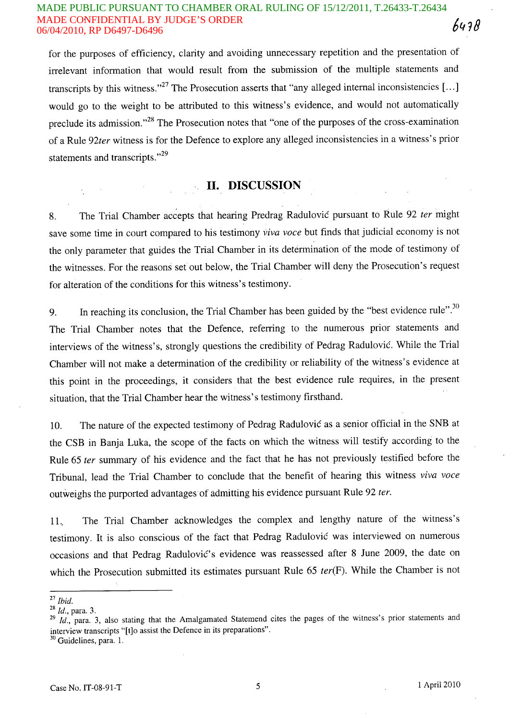#### MADE PUBLIC PURSUANT TO CHAMBER ORAL RULING OF 15/12/2011, T.26433-T.26434 MADE CONFIDENTIAL BY JUDGE'S ORDER 6438 06/04/2010, RP D6497-D6496

for the purposes of efficiency, clarity and avoiding unnecessary repetition and the presentation of irrelevant information that would result from the submission of the multiple statements and transcripts by this witness."<sup>27</sup> The Prosecution asserts that "any alleged internal inconsistencies [...] would go to the weight to be attributed to this witness's evidence, and would not automatically preclude its admission."<sup>28</sup> The Prosecution notes that "one of the purposes of the cross-examination of a Rule 92ter witness is for the Defence to explore any alleged inconsistencies in a witness's prior statements and transcripts."<sup>29</sup>

# **11. DISCUSSION**

8. The Trial Chamber accepts that hearing Predrag Radulovic pursuant to Rule 92 ter might save some time in court compared to his testimony viva voce but finds that judicial economy is not the only parameter that guides the Trial Chamber in its determination of the mode of testimony of the witnesses. For the reasons set out below, the Trial Chamber will deny the Prosecution's request for alteration of the conditions for this witness's testimony.

9. In reaching its conclusion, the Trial Chamber has been guided by the "best evidence rule". $30$ The Trial Chamber notes that the Defence, referring to the numerous prior statements and interviews of the witness's, strongly questions the credibility of Pedrag Radulovic. While the Trial Chamber will not make a determination of the credibility or reliability of the witness's evidence at this point in the proceedings, it considers that the best evidence rule requires, in the present situation, that the Trial Chamber hear the witness's testimony firsthand.

10. The nature of the expected testimony of Pedrag Radulovic as a senior official in the SNB at the CSB in Banja Luka, the scope of the facts on which the witness will testify according to the Rule 65 fer summary of his evidence and the fact that he has not previously testified before the Tribunal, lead the Trial Chamber to conclude that the benefit of hearing this witness viva voce outweighs the purported advantages of admitting his evidence pursuant Rule 92 ter.

11. The Trial Chamber acknowledges the complex and lengthy nature of the witness's testimony. It is also conscious of the fact that Pedrag Radulovic was interviewed on numerous occasions and that Pedrag Radulović's evidence was reassessed after 8 June 2009, the date on which the Prosecution submitted its estimates pursuant Rule 65 ter(F). While the Chamber is not

<sup>27</sup>*Ibid.* 

<sup>28</sup>*Id.,* para. 3.

<sup>&</sup>lt;sup>29</sup> Id., para. 3, also stating that the Amalgamated Statemend cites the pages of the witness's prior statements and interview transcripts "[t]o assist the Defence in its preparations".

<sup>&</sup>lt;sup>30</sup> Guidelines, para. 1.